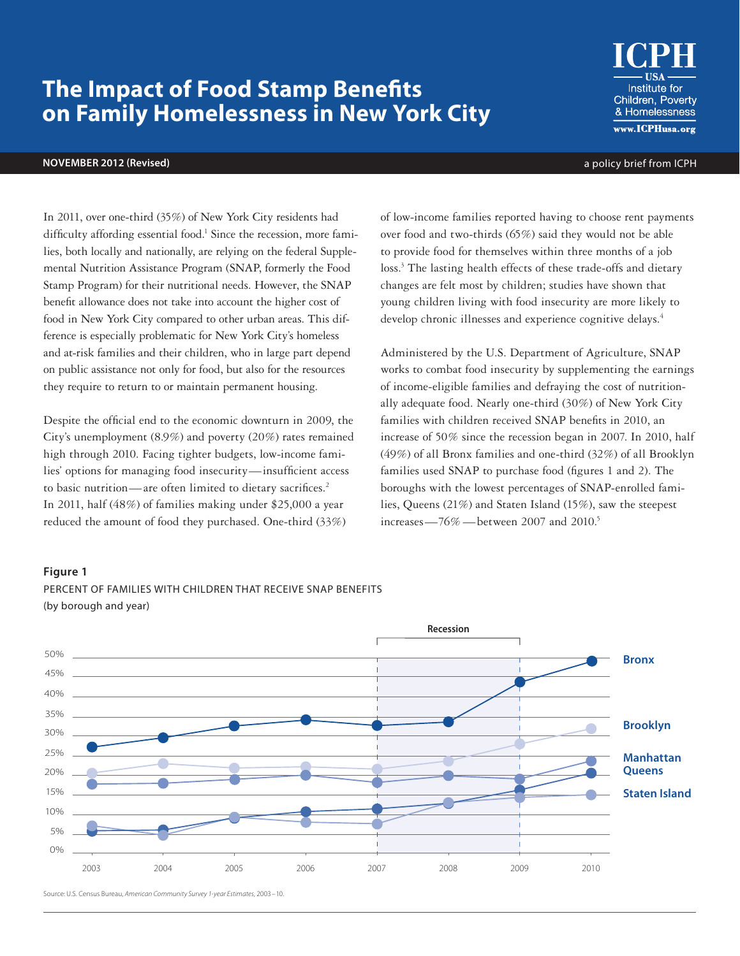# **The Impact of Food Stamp Benefits on Family Homelessness in New York City**

#### **NOVEMBER 2012 (Revised)** a policy brief from ICPH

In 2011, over one-third (35%) of New York City residents had difficulty affording essential food.<sup>1</sup> Since the recession, more families, both locally and nationally, are relying on the federal Supplemental Nutrition Assistance Program (SNAP, formerly the Food Stamp Program) for their nutritional needs. However, the SNAP benefit allowance does not take into account the higher cost of food in New York City compared to other urban areas. This difference is especially problematic for New York City's homeless and at-risk families and their children, who in large part depend on public assistance not only for food, but also for the resources they require to return to or maintain permanent housing.

Despite the official end to the economic downturn in 2009, the City's unemployment (8.9%) and poverty (20%) rates remained high through 2010. Facing tighter budgets, low-income families' options for managing food insecurity—insufficient access to basic nutrition—are often limited to dietary sacrifices.<sup>2</sup> In 2011, half (48%) of families making under \$25,000 a year reduced the amount of food they purchased. One-third (33%)

of low-income families reported having to choose rent payments over food and two-thirds (65%) said they would not be able to provide food for themselves within three months of a job loss.<sup>3</sup> The lasting health effects of these trade-offs and dietary changes are felt most by children; studies have shown that young children living with food insecurity are more likely to develop chronic illnesses and experience cognitive delays.<sup>4</sup>

Administered by the U.S. Department of Agriculture, SNAP works to combat food insecurity by supplementing the earnings of income-eligible families and defraying the cost of nutritionally adequate food. Nearly one-third (30%) of New York City families with children received SNAP benefits in 2010, an increase of 50% since the recession began in 2007. In 2010, half (49%) of all Bronx families and one-third (32%) of all Brooklyn families used SNAP to purchase food (figures 1 and 2). The boroughs with the lowest percentages of SNAP-enrolled families, Queens (21%) and Staten Island (15%), saw the steepest increases— $76\%$  — between 2007 and 2010.<sup>5</sup>

#### **Figure 1**





Source: U.S. Census Bureau, *American Community Survey 1-year Estimates,* 2003 –10.

**Institute for** Children, Poverty & Homelessness www.ICPHusa.org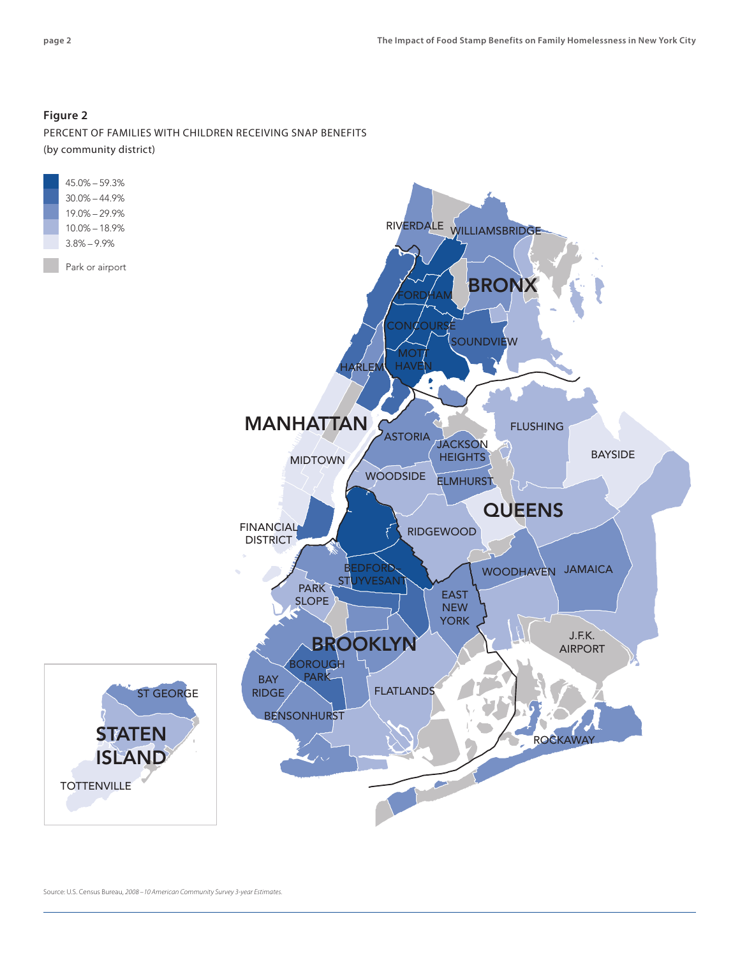## **Figure 2**

PERCENT OF FAMILIES WITH CHILDREN RECEIVING SNAP BENEFITS (by community district)

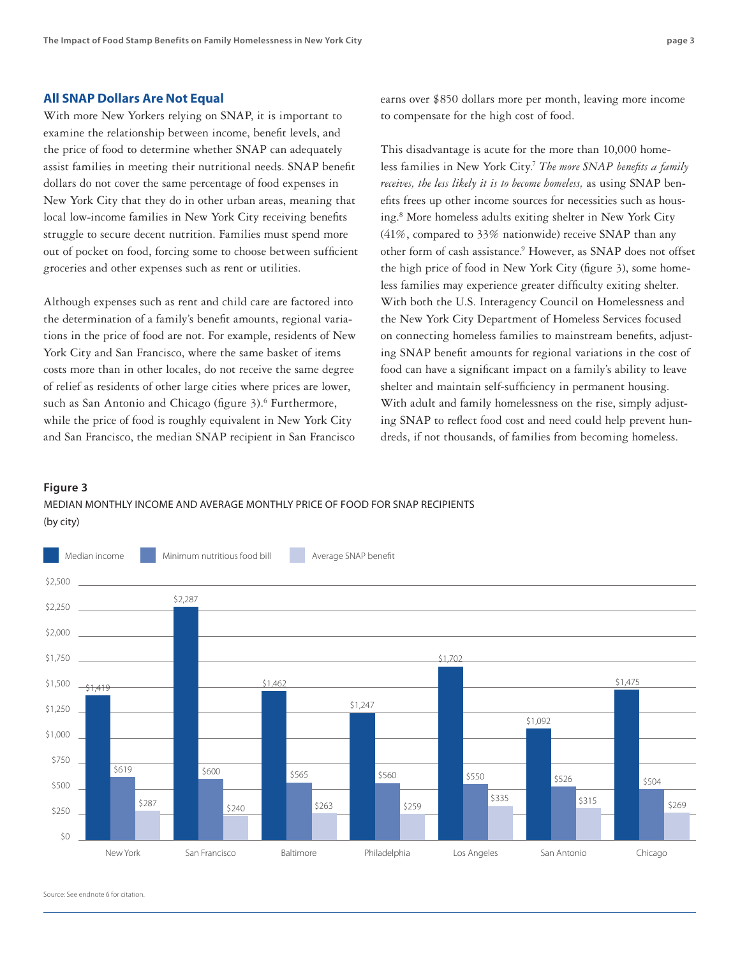### **All SNAP Dollars Are Not Equal**

With more New Yorkers relying on SNAP, it is important to examine the relationship between income, benefit levels, and the price of food to determine whether SNAP can adequately assist families in meeting their nutritional needs. SNAP benefit dollars do not cover the same percentage of food expenses in New York City that they do in other urban areas, meaning that local low-income families in New York City receiving benefits struggle to secure decent nutrition. Families must spend more out of pocket on food, forcing some to choose between sufficient groceries and other expenses such as rent or utilities.

Although expenses such as rent and child care are factored into the determination of a family's benefit amounts, regional variations in the price of food are not. For example, residents of New York City and San Francisco, where the same basket of items costs more than in other locales, do not receive the same degree of relief as residents of other large cities where prices are lower, such as San Antonio and Chicago (figure 3).<sup>6</sup> Furthermore, while the price of food is roughly equivalent in New York City and San Francisco, the median SNAP recipient in San Francisco earns over \$850 dollars more per month, leaving more income to compensate for the high cost of food.

This disadvantage is acute for the more than 10,000 homeless families in New York City.<sup>7</sup> *The more SNAP benefits a family receives, the less likely it is to become homeless,* as using SNAP benefits frees up other income sources for necessities such as housing.8 More homeless adults exiting shelter in New York City (41%, compared to 33% nationwide) receive SNAP than any other form of cash assistance.<sup>9</sup> However, as SNAP does not offset the high price of food in New York City (figure 3), some homeless families may experience greater difficulty exiting shelter. With both the U.S. Interagency Council on Homelessness and the New York City Department of Homeless Services focused on connecting homeless families to mainstream benefits, adjusting SNAP benefit amounts for regional variations in the cost of food can have a significant impact on a family's ability to leave shelter and maintain self-sufficiency in permanent housing. With adult and family homelessness on the rise, simply adjusting SNAP to reflect food cost and need could help prevent hundreds, if not thousands, of families from becoming homeless.

#### **Figure 3**

MEDIAN MONTHLY INCOME AND AVERAGE MONTHLY PRICE OF FOOD FOR SNAP RECIPIENTS (by city)



Source: See endnote 6 for citation.